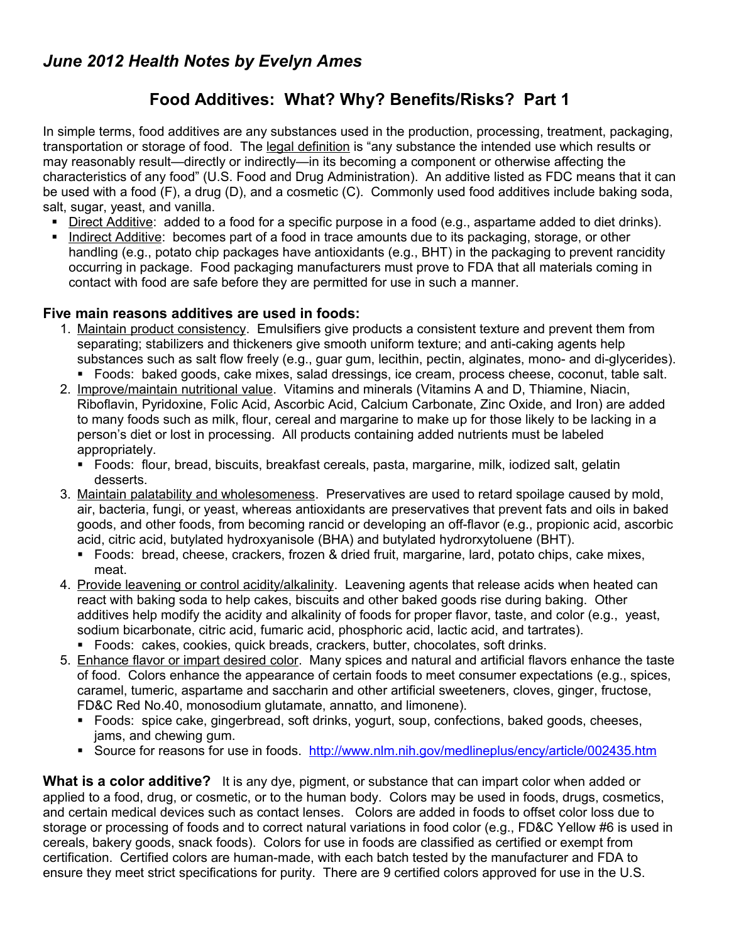## **Food Additives: What? Why? Benefits/Risks? Part 1**

In simple terms, food additives are any substances used in the production, processing, treatment, packaging, transportation or storage of food. The legal definition is "any substance the intended use which results or may reasonably result—directly or indirectly—in its becoming a component or otherwise affecting the characteristics of any food" (U.S. Food and Drug Administration). An additive listed as FDC means that it can be used with a food (F), a drug (D), and a cosmetic (C). Commonly used food additives include baking soda, salt, sugar, yeast, and vanilla.

- Direct Additive: added to a food for a specific purpose in a food (e.g., aspartame added to diet drinks).
- Indirect Additive: becomes part of a food in trace amounts due to its packaging, storage, or other handling (e.g., potato chip packages have antioxidants (e.g., BHT) in the packaging to prevent rancidity occurring in package. Food packaging manufacturers must prove to FDA that all materials coming in contact with food are safe before they are permitted for use in such a manner.

## **Five main reasons additives are used in foods:**

- 1. Maintain product consistency. Emulsifiers give products a consistent texture and prevent them from separating; stabilizers and thickeners give smooth uniform texture; and anti-caking agents help substances such as salt flow freely (e.g., guar gum, lecithin, pectin, alginates, mono- and di-glycerides). Foods: baked goods, cake mixes, salad dressings, ice cream, process cheese, coconut, table salt.
- 2. Improve/maintain nutritional value. Vitamins and minerals (Vitamins A and D, Thiamine, Niacin, Riboflavin, Pyridoxine, Folic Acid, Ascorbic Acid, Calcium Carbonate, Zinc Oxide, and Iron) are added to many foods such as milk, flour, cereal and margarine to make up for those likely to be lacking in a person's diet or lost in processing. All products containing added nutrients must be labeled appropriately.
	- Foods: flour, bread, biscuits, breakfast cereals, pasta, margarine, milk, iodized salt, gelatin desserts.
- 3. Maintain palatability and wholesomeness. Preservatives are used to retard spoilage caused by mold, air, bacteria, fungi, or yeast, whereas antioxidants are preservatives that prevent fats and oils in baked goods, and other foods, from becoming rancid or developing an off-flavor (e.g., propionic acid, ascorbic acid, citric acid, butylated hydroxyanisole (BHA) and butylated hydrorxytoluene (BHT).
	- Foods: bread, cheese, crackers, frozen & dried fruit, margarine, lard, potato chips, cake mixes, meat.
- 4. Provide leavening or control acidity/alkalinity. Leavening agents that release acids when heated can react with baking soda to help cakes, biscuits and other baked goods rise during baking. Other additives help modify the acidity and alkalinity of foods for proper flavor, taste, and color (e.g., yeast, sodium bicarbonate, citric acid, fumaric acid, phosphoric acid, lactic acid, and tartrates).
	- Foods: cakes, cookies, quick breads, crackers, butter, chocolates, soft drinks.
- 5. Enhance flavor or impart desired color. Many spices and natural and artificial flavors enhance the taste of food. Colors enhance the appearance of certain foods to meet consumer expectations (e.g., spices, caramel, tumeric, aspartame and saccharin and other artificial sweeteners, cloves, ginger, fructose, FD&C Red No.40, monosodium glutamate, annatto, and limonene).
	- Foods: spice cake, gingerbread, soft drinks, yogurt, soup, confections, baked goods, cheeses, jams, and chewing gum.
	- Source for reasons for use in foods. <http://www.nlm.nih.gov/medlineplus/ency/article/002435.htm>

**What is a color additive?** It is any dye, pigment, or substance that can impart color when added or applied to a food, drug, or cosmetic, or to the human body. Colors may be used in foods, drugs, cosmetics, and certain medical devices such as contact lenses. Colors are added in foods to offset color loss due to storage or processing of foods and to correct natural variations in food color (e.g., FD&C Yellow #6 is used in cereals, bakery goods, snack foods). Colors for use in foods are classified as certified or exempt from certification. Certified colors are human-made, with each batch tested by the manufacturer and FDA to ensure they meet strict specifications for purity. There are 9 certified colors approved for use in the U.S.